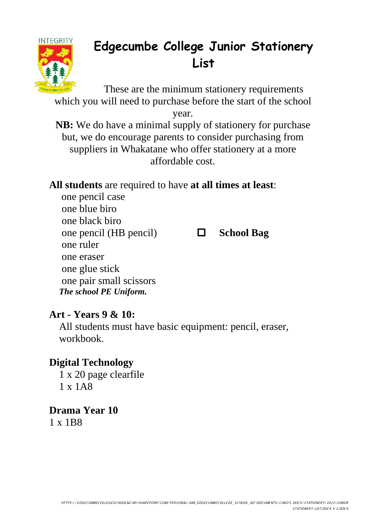

# **Edgecumbe College Junior Stationery List**

These are the minimum stationery requirements which you will need to purchase before the start of the school

year.

**NB:** We do have a minimal supply of stationery for purchase but, we do encourage parents to consider purchasing from suppliers in Whakatane who offer stationery at a more affordable cost.

## **All students** are required to have **at all times at least**:

one pencil case one blue biro one black biro one pencil (HB pencil)  $\Box$  **School Bag** one ruler one eraser one glue stick one pair small scissors *The school PE Uniform.*

### **Art - Years 9 & 10:**

All students must have basic equipment: pencil, eraser, workbook.

### **Digital Technology**

1 x 20 page clearfile 1 x 1A8

**Drama Year 10** 1 x 1B8